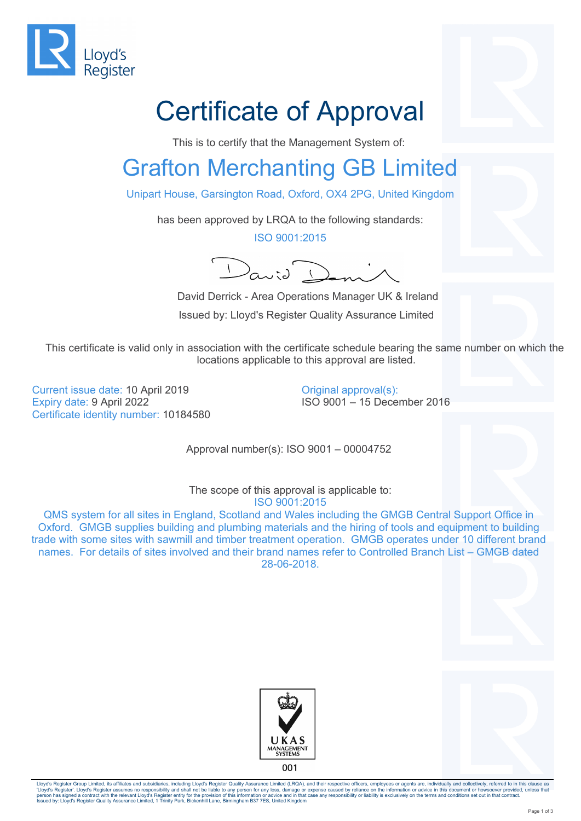

## Certificate of Approval

This is to certify that the Management System of:

## Grafton Merchanting GB Limited

Unipart House, Garsington Road, Oxford, OX4 2PG, United Kingdom

has been approved by LRQA to the following standards:

ISO 9001:2015

 $\begin{pmatrix} 1 & 1 \\ 0 & 1 \end{pmatrix}$ 

 David Derrick - Area Operations Manager UK & Ireland Issued by: Lloyd's Register Quality Assurance Limited

This certificate is valid only in association with the certificate schedule bearing the same number on which the locations applicable to this approval are listed.

Current issue date: 10 April 2019 Expiry date: 9 April 2022 Certificate identity number: 10184580 Original approval(s): ISO 9001 – 15 December 2016

Approval number(s): ISO 9001 – 00004752

The scope of this approval is applicable to: ISO 9001:2015

QMS system for all sites in England, Scotland and Wales including the GMGB Central Support Office in Oxford. GMGB supplies building and plumbing materials and the hiring of tools and equipment to building trade with some sites with sawmill and timber treatment operation. GMGB operates under 10 different brand names. For details of sites involved and their brand names refer to Controlled Branch List – GMGB dated 28-06-2018.





Lloyd's Register Group Limited, its affiliates and subsidiaries, including Lloyd's Register Quality Assurance Limited (LRQA), and their respective officers, employees or agents are, individually and collectively, referred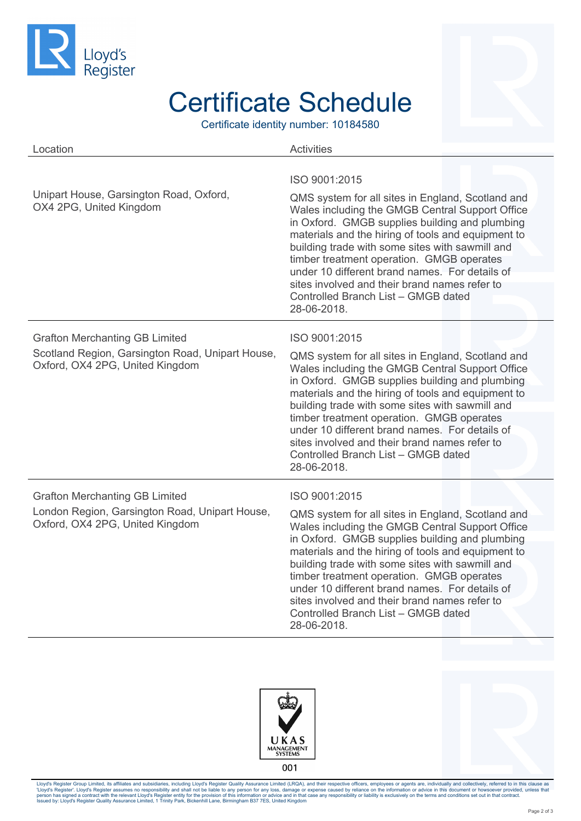

## Certificate Schedule

Certificate identity number: 10184580

| Location                                                                            | <b>Activities</b>                                                                                                                                                                                                                                                                                                                                                                                                                                                     |
|-------------------------------------------------------------------------------------|-----------------------------------------------------------------------------------------------------------------------------------------------------------------------------------------------------------------------------------------------------------------------------------------------------------------------------------------------------------------------------------------------------------------------------------------------------------------------|
|                                                                                     | ISO 9001:2015                                                                                                                                                                                                                                                                                                                                                                                                                                                         |
| Unipart House, Garsington Road, Oxford,<br>OX4 2PG, United Kingdom                  | QMS system for all sites in England, Scotland and<br>Wales including the GMGB Central Support Office<br>in Oxford. GMGB supplies building and plumbing<br>materials and the hiring of tools and equipment to<br>building trade with some sites with sawmill and<br>timber treatment operation. GMGB operates<br>under 10 different brand names. For details of<br>sites involved and their brand names refer to<br>Controlled Branch List - GMGB dated<br>28-06-2018. |
| <b>Grafton Merchanting GB Limited</b>                                               | ISO 9001:2015                                                                                                                                                                                                                                                                                                                                                                                                                                                         |
| Scotland Region, Garsington Road, Unipart House,<br>Oxford, OX4 2PG, United Kingdom | QMS system for all sites in England, Scotland and<br>Wales including the GMGB Central Support Office<br>in Oxford. GMGB supplies building and plumbing<br>materials and the hiring of tools and equipment to<br>building trade with some sites with sawmill and                                                                                                                                                                                                       |
|                                                                                     | timber treatment operation. GMGB operates<br>under 10 different brand names. For details of<br>sites involved and their brand names refer to<br>Controlled Branch List - GMGB dated<br>28-06-2018.                                                                                                                                                                                                                                                                    |
| <b>Grafton Merchanting GB Limited</b>                                               | ISO 9001:2015                                                                                                                                                                                                                                                                                                                                                                                                                                                         |
| London Region, Garsington Road, Unipart House,<br>Oxford, OX4 2PG, United Kingdom   | QMS system for all sites in England, Scotland and<br>Wales including the GMGB Central Support Office                                                                                                                                                                                                                                                                                                                                                                  |
|                                                                                     | in Oxford. GMGB supplies building and plumbing<br>materials and the hiring of tools and equipment to<br>building trade with some sites with sawmill and<br>timber treatment operation. GMGB operates<br>under 10 different brand names. For details of<br>sites involved and their brand names refer to<br>Controlled Branch List - GMGB dated<br>28-06-2018.                                                                                                         |